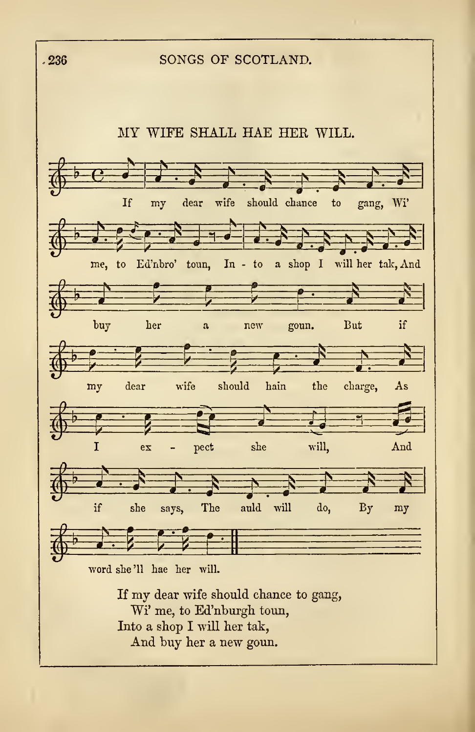